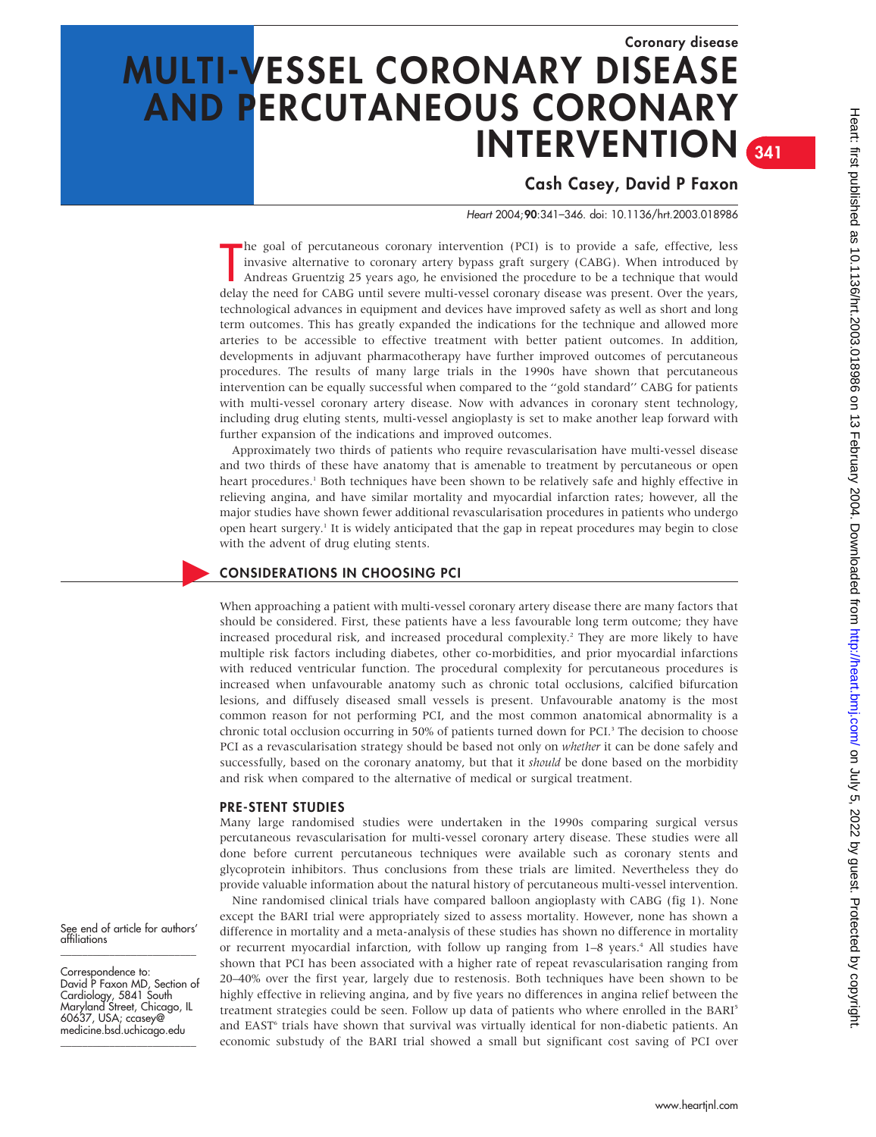# Coronary disease MULTI-VESSEL CORONARY DISEASE AND PERCUTANEOUS CORONARY INTERVENTION  $341$

# Cash Casey, David P Faxon

Heart 2004;90:341–346. doi: 10.1136/hrt.2003.018986

The goal of percutaneous coronary intervention (PCI) is to provide a sate, effective, less<br>invasive alternative to coronary artery bypass graft surgery (CABG). When introduced by<br>Andreas Gruentzig 25 years ago, he envision he goal of percutaneous coronary intervention (PCI) is to provide a safe, effective, less invasive alternative to coronary artery bypass graft surgery (CABG). When introduced by Andreas Gruentzig 25 years ago, he envisioned the procedure to be a technique that would technological advances in equipment and devices have improved safety as well as short and long term outcomes. This has greatly expanded the indications for the technique and allowed more arteries to be accessible to effective treatment with better patient outcomes. In addition, developments in adjuvant pharmacotherapy have further improved outcomes of percutaneous procedures. The results of many large trials in the 1990s have shown that percutaneous intervention can be equally successful when compared to the ''gold standard'' CABG for patients with multi-vessel coronary artery disease. Now with advances in coronary stent technology, including drug eluting stents, multi-vessel angioplasty is set to make another leap forward with further expansion of the indications and improved outcomes.

Approximately two thirds of patients who require revascularisation have multi-vessel disease and two thirds of these have anatomy that is amenable to treatment by percutaneous or open heart procedures.<sup>1</sup> Both techniques have been shown to be relatively safe and highly effective in relieving angina, and have similar mortality and myocardial infarction rates; however, all the major studies have shown fewer additional revascularisation procedures in patients who undergo open heart surgery.1 It is widely anticipated that the gap in repeat procedures may begin to close with the advent of drug eluting stents.

# c CONSIDERATIONS IN CHOOSING PCI

When approaching a patient with multi-vessel coronary artery disease there are many factors that should be considered. First, these patients have a less favourable long term outcome; they have increased procedural risk, and increased procedural complexity.2 They are more likely to have multiple risk factors including diabetes, other co-morbidities, and prior myocardial infarctions with reduced ventricular function. The procedural complexity for percutaneous procedures is increased when unfavourable anatomy such as chronic total occlusions, calcified bifurcation lesions, and diffusely diseased small vessels is present. Unfavourable anatomy is the most common reason for not performing PCI, and the most common anatomical abnormality is a chronic total occlusion occurring in 50% of patients turned down for PCI.<sup>3</sup> The decision to choose PCI as a revascularisation strategy should be based not only on whether it can be done safely and successfully, based on the coronary anatomy, but that it should be done based on the morbidity and risk when compared to the alternative of medical or surgical treatment.

#### PRE-STENT STUDIES

Many large randomised studies were undertaken in the 1990s comparing surgical versus percutaneous revascularisation for multi-vessel coronary artery disease. These studies were all done before current percutaneous techniques were available such as coronary stents and glycoprotein inhibitors. Thus conclusions from these trials are limited. Nevertheless they do provide valuable information about the natural history of percutaneous multi-vessel intervention.

Nine randomised clinical trials have compared balloon angioplasty with CABG (fig 1). None except the BARI trial were appropriately sized to assess mortality. However, none has shown a difference in mortality and a meta-analysis of these studies has shown no difference in mortality or recurrent myocardial infarction, with follow up ranging from 1–8 years.4 All studies have shown that PCI has been associated with a higher rate of repeat revascularisation ranging from 20–40% over the first year, largely due to restenosis. Both techniques have been shown to be highly effective in relieving angina, and by five years no differences in angina relief between the treatment strategies could be seen. Follow up data of patients who where enrolled in the BARI<sup>5</sup> and EAST<sup>6</sup> trials have shown that survival was virtually identical for non-diabetic patients. An economic substudy of the BARI trial showed a small but significant cost saving of PCI over

See end of article for authors' affiliations \_\_\_\_\_\_\_\_\_\_\_\_\_\_\_\_\_\_\_\_\_\_\_\_\_

Correspondence to: David P Faxon MD, Section of Cardiology, 5841 South Maryland Street, Chicago, IL 60637, USA; ccasey@ medicine.bsd.uchicago.edu \_\_\_\_\_\_\_\_\_\_\_\_\_\_\_\_\_\_\_\_\_\_\_\_\_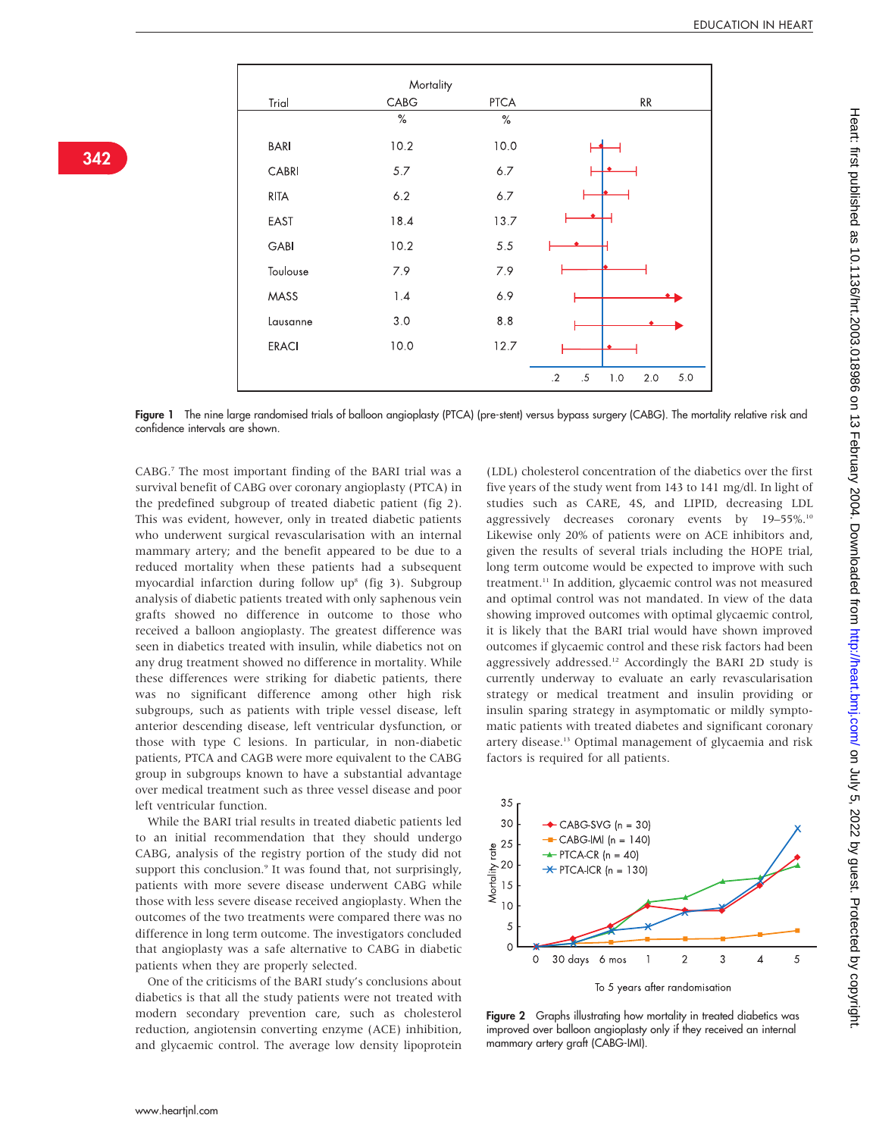|              | Mortality |      |                                       |
|--------------|-----------|------|---------------------------------------|
| Trial        | CABG      | PTCA | RR                                    |
|              | $\%$      | $\%$ |                                       |
| <b>BARI</b>  | 10.2      | 10.0 |                                       |
| CABRI        | 5.7       | 6.7  |                                       |
| <b>RITA</b>  | 6.2       | 6.7  |                                       |
| EAST         | 18.4      | 13.7 |                                       |
| GABI         | 10.2      | 5.5  |                                       |
| Toulouse     | 7.9       | 7.9  |                                       |
| MASS         | 1.4       | 6.9  |                                       |
| Lausanne     | 3.0       | 8.8  |                                       |
| <b>ERACI</b> | 10.0      | 12.7 |                                       |
|              |           |      | $.2\,$<br>5.0<br>$.5\,$<br>1.0<br>2.0 |

342

Figure 1 The nine large randomised trials of balloon angioplasty (PTCA) (pre-stent) versus bypass surgery (CABG). The mortality relative risk and confidence intervals are shown.

CABG.7 The most important finding of the BARI trial was a survival benefit of CABG over coronary angioplasty (PTCA) in the predefined subgroup of treated diabetic patient (fig 2). This was evident, however, only in treated diabetic patients who underwent surgical revascularisation with an internal mammary artery; and the benefit appeared to be due to a reduced mortality when these patients had a subsequent myocardial infarction during follow  $up<sup>8</sup>$  (fig 3). Subgroup analysis of diabetic patients treated with only saphenous vein grafts showed no difference in outcome to those who received a balloon angioplasty. The greatest difference was seen in diabetics treated with insulin, while diabetics not on any drug treatment showed no difference in mortality. While these differences were striking for diabetic patients, there was no significant difference among other high risk subgroups, such as patients with triple vessel disease, left anterior descending disease, left ventricular dysfunction, or those with type C lesions. In particular, in non-diabetic patients, PTCA and CAGB were more equivalent to the CABG group in subgroups known to have a substantial advantage over medical treatment such as three vessel disease and poor left ventricular function.

While the BARI trial results in treated diabetic patients led to an initial recommendation that they should undergo CABG, analysis of the registry portion of the study did not support this conclusion.<sup>9</sup> It was found that, not surprisingly, patients with more severe disease underwent CABG while those with less severe disease received angioplasty. When the outcomes of the two treatments were compared there was no difference in long term outcome. The investigators concluded that angioplasty was a safe alternative to CABG in diabetic patients when they are properly selected.

One of the criticisms of the BARI study's conclusions about diabetics is that all the study patients were not treated with modern secondary prevention care, such as cholesterol reduction, angiotensin converting enzyme (ACE) inhibition, and glycaemic control. The average low density lipoprotein

(LDL) cholesterol concentration of the diabetics over the first five years of the study went from 143 to 141 mg/dl. In light of studies such as CARE, 4S, and LIPID, decreasing LDL aggressively decreases coronary events by 19–55%.<sup>10</sup> Likewise only 20% of patients were on ACE inhibitors and, given the results of several trials including the HOPE trial, long term outcome would be expected to improve with such treatment.11 In addition, glycaemic control was not measured and optimal control was not mandated. In view of the data showing improved outcomes with optimal glycaemic control, it is likely that the BARI trial would have shown improved outcomes if glycaemic control and these risk factors had been aggressively addressed.12 Accordingly the BARI 2D study is currently underway to evaluate an early revascularisation strategy or medical treatment and insulin providing or insulin sparing strategy in asymptomatic or mildly symptomatic patients with treated diabetes and significant coronary artery disease.13 Optimal management of glycaemia and risk factors is required for all patients.



Figure 2 Graphs illustrating how mortality in treated diabetics was improved over balloon angioplasty only if they received an internal mammary artery graft (CABG-IMI).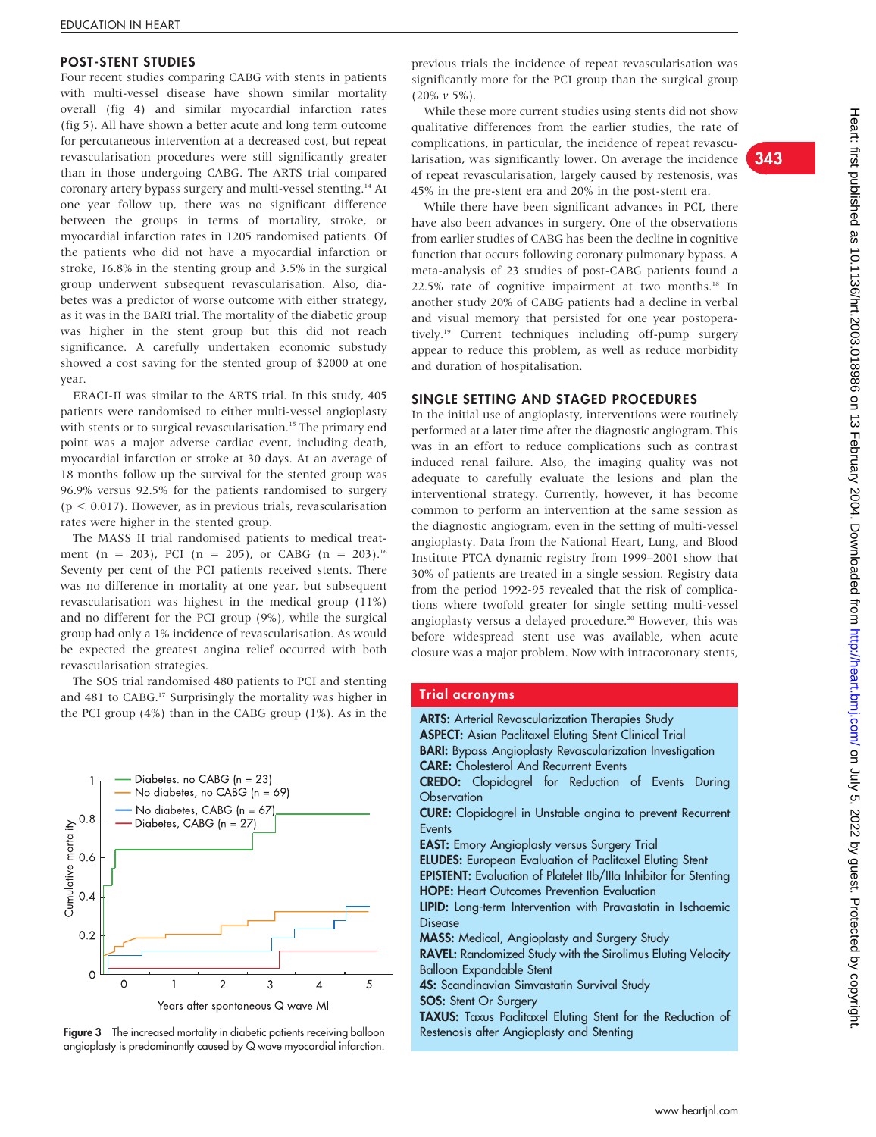#### POST-STENT STUDIES

Four recent studies comparing CABG with stents in patients with multi-vessel disease have shown similar mortality overall (fig 4) and similar myocardial infarction rates (fig 5). All have shown a better acute and long term outcome for percutaneous intervention at a decreased cost, but repeat revascularisation procedures were still significantly greater than in those undergoing CABG. The ARTS trial compared coronary artery bypass surgery and multi-vessel stenting.14 At one year follow up, there was no significant difference between the groups in terms of mortality, stroke, or myocardial infarction rates in 1205 randomised patients. Of the patients who did not have a myocardial infarction or stroke, 16.8% in the stenting group and 3.5% in the surgical group underwent subsequent revascularisation. Also, diabetes was a predictor of worse outcome with either strategy, as it was in the BARI trial. The mortality of the diabetic group was higher in the stent group but this did not reach significance. A carefully undertaken economic substudy showed a cost saving for the stented group of \$2000 at one year.

ERACI-II was similar to the ARTS trial. In this study, 405 patients were randomised to either multi-vessel angioplasty with stents or to surgical revascularisation.<sup>15</sup> The primary end point was a major adverse cardiac event, including death, myocardial infarction or stroke at 30 days. At an average of 18 months follow up the survival for the stented group was 96.9% versus 92.5% for the patients randomised to surgery  $(p < 0.017)$ . However, as in previous trials, revascularisation rates were higher in the stented group.

The MASS II trial randomised patients to medical treatment (n = 203), PCI (n = 205), or CABG (n = 203).<sup>16</sup> Seventy per cent of the PCI patients received stents. There was no difference in mortality at one year, but subsequent revascularisation was highest in the medical group (11%) and no different for the PCI group (9%), while the surgical group had only a 1% incidence of revascularisation. As would be expected the greatest angina relief occurred with both revascularisation strategies.

The SOS trial randomised 480 patients to PCI and stenting and 481 to CABG.<sup>17</sup> Surprisingly the mortality was higher in the PCI group (4%) than in the CABG group (1%). As in the





previous trials the incidence of repeat revascularisation was significantly more for the PCI group than the surgical group  $(20\% \nu 5\%).$ 

While these more current studies using stents did not show qualitative differences from the earlier studies, the rate of complications, in particular, the incidence of repeat revascularisation, was significantly lower. On average the incidence of repeat revascularisation, largely caused by restenosis, was 45% in the pre-stent era and 20% in the post-stent era.

While there have been significant advances in PCI, there have also been advances in surgery. One of the observations from earlier studies of CABG has been the decline in cognitive function that occurs following coronary pulmonary bypass. A meta-analysis of 23 studies of post-CABG patients found a 22.5% rate of cognitive impairment at two months.<sup>18</sup> In another study 20% of CABG patients had a decline in verbal and visual memory that persisted for one year postoperatively.19 Current techniques including off-pump surgery appear to reduce this problem, as well as reduce morbidity and duration of hospitalisation.

## SINGLE SETTING AND STAGED PROCEDURES

In the initial use of angioplasty, interventions were routinely performed at a later time after the diagnostic angiogram. This was in an effort to reduce complications such as contrast induced renal failure. Also, the imaging quality was not adequate to carefully evaluate the lesions and plan the interventional strategy. Currently, however, it has become common to perform an intervention at the same session as the diagnostic angiogram, even in the setting of multi-vessel angioplasty. Data from the National Heart, Lung, and Blood Institute PTCA dynamic registry from 1999–2001 show that 30% of patients are treated in a single session. Registry data from the period 1992-95 revealed that the risk of complications where twofold greater for single setting multi-vessel angioplasty versus a delayed procedure.<sup>20</sup> However, this was before widespread stent use was available, when acute closure was a major problem. Now with intracoronary stents,

#### Trial acronyms

| <b>ARTS:</b> Arterial Revascularization Therapies Study                 |  |  |  |  |
|-------------------------------------------------------------------------|--|--|--|--|
| <b>ASPECT:</b> Asian Paclitaxel Eluting Stent Clinical Trial            |  |  |  |  |
| <b>BARI:</b> Bypass Angioplasty Revascularization Investigation         |  |  |  |  |
| <b>CARE:</b> Cholesterol And Recurrent Events                           |  |  |  |  |
| <b>CREDO:</b> Clopidogrel for Reduction of Events During                |  |  |  |  |
| Observation                                                             |  |  |  |  |
| <b>CURE:</b> Clopidogrel in Unstable angina to prevent Recurrent        |  |  |  |  |
| <b>Events</b>                                                           |  |  |  |  |
| <b>EAST:</b> Emory Angioplasty versus Surgery Trial                     |  |  |  |  |
| <b>ELUDES:</b> European Evaluation of Paclitaxel Eluting Stent          |  |  |  |  |
| <b>EPISTENT:</b> Evaluation of Platelet Ilb/IIIa Inhibitor for Stenting |  |  |  |  |
| <b>HOPE:</b> Heart Outcomes Prevention Evaluation                       |  |  |  |  |
| LIPID: Long-term Intervention with Pravastatin in Ischaemic             |  |  |  |  |
| Disease                                                                 |  |  |  |  |
| <b>MASS:</b> Medical, Angioplasty and Surgery Study                     |  |  |  |  |
| RAVEL: Randomized Study with the Sirolimus Eluting Velocity             |  |  |  |  |
| <b>Balloon Expandable Stent</b>                                         |  |  |  |  |
| <b>4S:</b> Scandinavian Simvastatin Survival Study                      |  |  |  |  |
| <b>SOS:</b> Stent Or Surgery                                            |  |  |  |  |
| TAXUS: Taxus Paclitaxel Eluting Stent for the Reduction of              |  |  |  |  |

343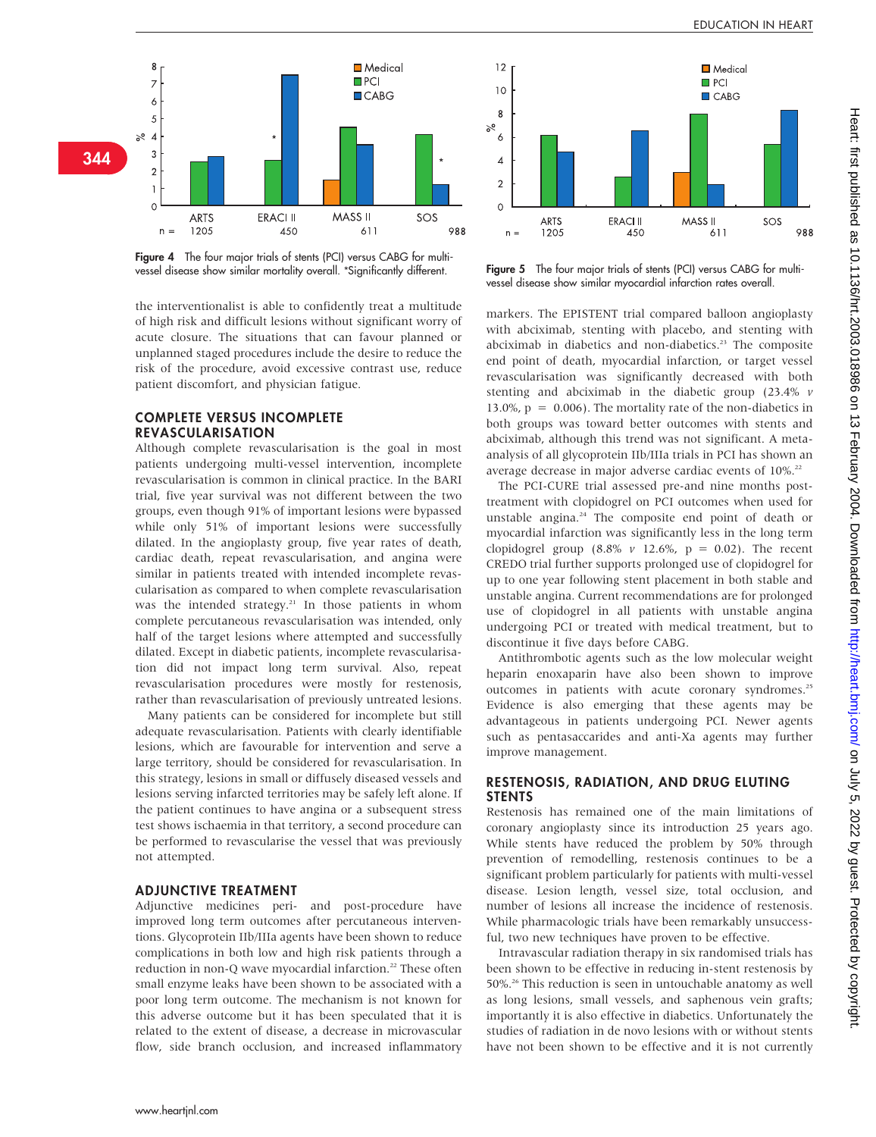

Figure 4 The four major trials of stents (PCI) versus CABG for multivessel disease show similar mortality overall. \*Significantly different. Figure 5 The four major trials of stents (PCI) versus CABG for multi-

the interventionalist is able to confidently treat a multitude of high risk and difficult lesions without significant worry of acute closure. The situations that can favour planned or unplanned staged procedures include the desire to reduce the risk of the procedure, avoid excessive contrast use, reduce patient discomfort, and physician fatigue.

## COMPLETE VERSUS INCOMPLETE REVASCULARISATION

Although complete revascularisation is the goal in most patients undergoing multi-vessel intervention, incomplete revascularisation is common in clinical practice. In the BARI trial, five year survival was not different between the two groups, even though 91% of important lesions were bypassed while only 51% of important lesions were successfully dilated. In the angioplasty group, five year rates of death, cardiac death, repeat revascularisation, and angina were similar in patients treated with intended incomplete revascularisation as compared to when complete revascularisation was the intended strategy.<sup>21</sup> In those patients in whom complete percutaneous revascularisation was intended, only half of the target lesions where attempted and successfully dilated. Except in diabetic patients, incomplete revascularisation did not impact long term survival. Also, repeat revascularisation procedures were mostly for restenosis, rather than revascularisation of previously untreated lesions.

Many patients can be considered for incomplete but still adequate revascularisation. Patients with clearly identifiable lesions, which are favourable for intervention and serve a large territory, should be considered for revascularisation. In this strategy, lesions in small or diffusely diseased vessels and lesions serving infarcted territories may be safely left alone. If the patient continues to have angina or a subsequent stress test shows ischaemia in that territory, a second procedure can be performed to revascularise the vessel that was previously not attempted.

#### ADJUNCTIVE TREATMENT

Adjunctive medicines peri- and post-procedure have improved long term outcomes after percutaneous interventions. Glycoprotein IIb/IIIa agents have been shown to reduce complications in both low and high risk patients through a reduction in non-Q wave myocardial infarction.<sup>22</sup> These often small enzyme leaks have been shown to be associated with a poor long term outcome. The mechanism is not known for this adverse outcome but it has been speculated that it is related to the extent of disease, a decrease in microvascular flow, side branch occlusion, and increased inflammatory



vessel disease show similar myocardial infarction rates overall.

markers. The EPISTENT trial compared balloon angioplasty with abciximab, stenting with placebo, and stenting with abciximab in diabetics and non-diabetics.<sup>23</sup> The composite end point of death, myocardial infarction, or target vessel revascularisation was significantly decreased with both stenting and abciximab in the diabetic group (23.4% v 13.0%,  $p = 0.006$ ). The mortality rate of the non-diabetics in both groups was toward better outcomes with stents and abciximab, although this trend was not significant. A metaanalysis of all glycoprotein IIb/IIIa trials in PCI has shown an average decrease in major adverse cardiac events of 10%.<sup>22</sup>

The PCI-CURE trial assessed pre-and nine months posttreatment with clopidogrel on PCI outcomes when used for unstable angina.24 The composite end point of death or myocardial infarction was significantly less in the long term clopidogrel group (8.8%  $v$  12.6%,  $p = 0.02$ ). The recent CREDO trial further supports prolonged use of clopidogrel for up to one year following stent placement in both stable and unstable angina. Current recommendations are for prolonged use of clopidogrel in all patients with unstable angina undergoing PCI or treated with medical treatment, but to discontinue it five days before CABG.

Antithrombotic agents such as the low molecular weight heparin enoxaparin have also been shown to improve outcomes in patients with acute coronary syndromes.<sup>25</sup> Evidence is also emerging that these agents may be advantageous in patients undergoing PCI. Newer agents such as pentasaccarides and anti-Xa agents may further improve management.

#### RESTENOSIS, RADIATION, AND DRUG ELUTING STENTS

Restenosis has remained one of the main limitations of coronary angioplasty since its introduction 25 years ago. While stents have reduced the problem by 50% through prevention of remodelling, restenosis continues to be a significant problem particularly for patients with multi-vessel disease. Lesion length, vessel size, total occlusion, and number of lesions all increase the incidence of restenosis. While pharmacologic trials have been remarkably unsuccessful, two new techniques have proven to be effective.

Intravascular radiation therapy in six randomised trials has been shown to be effective in reducing in-stent restenosis by 50%.26 This reduction is seen in untouchable anatomy as well as long lesions, small vessels, and saphenous vein grafts; importantly it is also effective in diabetics. Unfortunately the studies of radiation in de novo lesions with or without stents have not been shown to be effective and it is not currently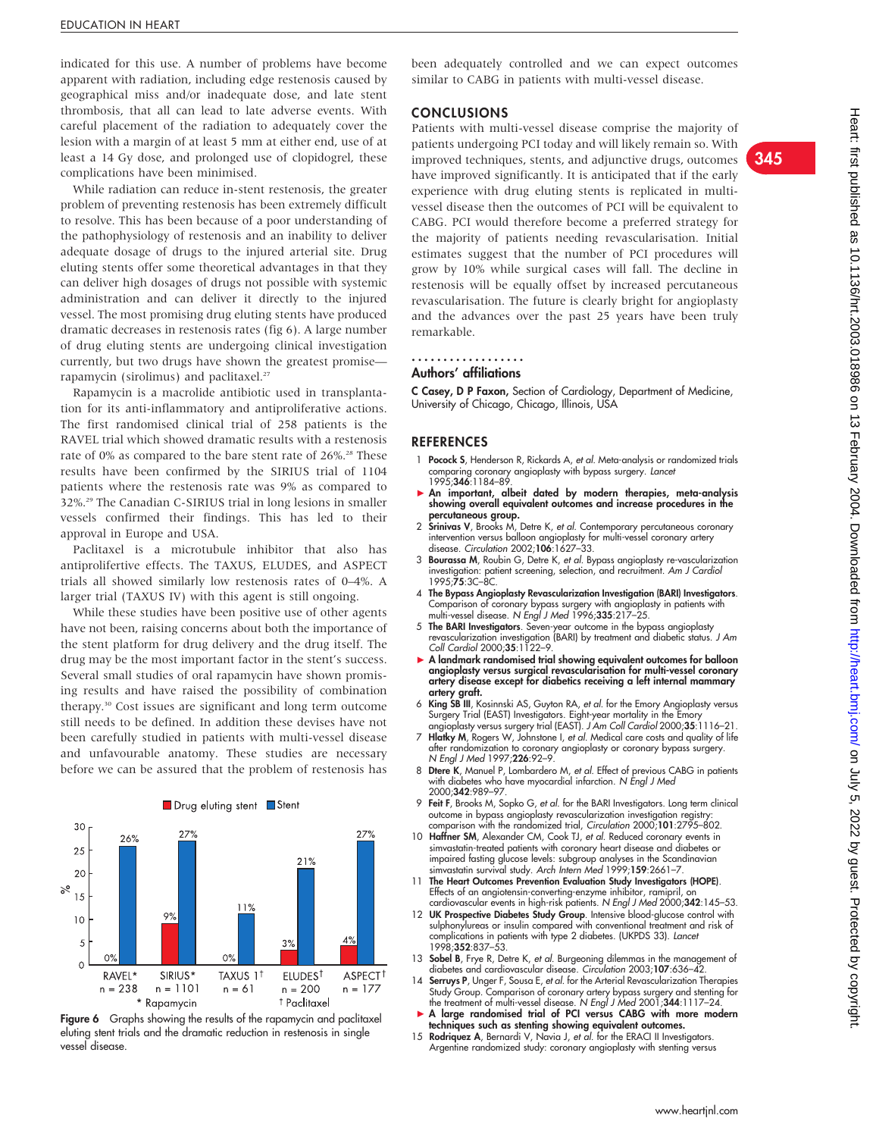indicated for this use. A number of problems have become apparent with radiation, including edge restenosis caused by geographical miss and/or inadequate dose, and late stent thrombosis, that all can lead to late adverse events. With careful placement of the radiation to adequately cover the lesion with a margin of at least 5 mm at either end, use of at least a 14 Gy dose, and prolonged use of clopidogrel, these complications have been minimised.

While radiation can reduce in-stent restenosis, the greater problem of preventing restenosis has been extremely difficult to resolve. This has been because of a poor understanding of the pathophysiology of restenosis and an inability to deliver adequate dosage of drugs to the injured arterial site. Drug eluting stents offer some theoretical advantages in that they can deliver high dosages of drugs not possible with systemic administration and can deliver it directly to the injured vessel. The most promising drug eluting stents have produced dramatic decreases in restenosis rates (fig 6). A large number of drug eluting stents are undergoing clinical investigation currently, but two drugs have shown the greatest promise rapamycin (sirolimus) and paclitaxel.<sup>27</sup>

Rapamycin is a macrolide antibiotic used in transplantation for its anti-inflammatory and antiproliferative actions. The first randomised clinical trial of 258 patients is the RAVEL trial which showed dramatic results with a restenosis rate of 0% as compared to the bare stent rate of 26%.<sup>28</sup> These results have been confirmed by the SIRIUS trial of 1104 patients where the restenosis rate was 9% as compared to 32%.29 The Canadian C-SIRIUS trial in long lesions in smaller vessels confirmed their findings. This has led to their approval in Europe and USA.

Paclitaxel is a microtubule inhibitor that also has antiprolifertive effects. The TAXUS, ELUDES, and ASPECT trials all showed similarly low restenosis rates of 0–4%. A larger trial (TAXUS IV) with this agent is still ongoing.

While these studies have been positive use of other agents have not been, raising concerns about both the importance of the stent platform for drug delivery and the drug itself. The drug may be the most important factor in the stent's success. Several small studies of oral rapamycin have shown promising results and have raised the possibility of combination therapy.30 Cost issues are significant and long term outcome still needs to be defined. In addition these devises have not been carefully studied in patients with multi-vessel disease and unfavourable anatomy. These studies are necessary before we can be assured that the problem of restenosis has





been adequately controlled and we can expect outcomes similar to CABG in patients with multi-vessel disease.

#### **CONCLUSIONS**

Patients with multi-vessel disease comprise the majority of patients undergoing PCI today and will likely remain so. With improved techniques, stents, and adjunctive drugs, outcomes have improved significantly. It is anticipated that if the early experience with drug eluting stents is replicated in multivessel disease then the outcomes of PCI will be equivalent to CABG. PCI would therefore become a preferred strategy for the majority of patients needing revascularisation. Initial estimates suggest that the number of PCI procedures will grow by 10% while surgical cases will fall. The decline in restenosis will be equally offset by increased percutaneous revascularisation. The future is clearly bright for angioplasty and the advances over the past 25 years have been truly remarkable.

#### Authors' affiliations ..................

C Casey, D P Faxon, Section of Cardiology, Department of Medicine, University of Chicago, Chicago, Illinois, USA

#### REFERENCES

- 1 **Pocock S**, Henderson R, Rickards A, et al. Meta-analysis or randomized trials comparing coronary angioplasty with bypass surgery. Lancet 1995;346:1184–89.
- An important, albeit dated by modern therapies, meta-analysis showing overall equivalent outcomes and increase procedures in the percutaneous group.
- 2 Srinivas V, Brooks M, Detre K, et al. Contemporary percutaneous coronary intervention versus balloon angioplasty for multi-vessel coronary artery disease. Circulation 2002;106:1627-33.
- 3 Bourassa M, Roubin G, Detre K, et al. Bypass angioplasty re-vascularization investigation: patient screening, selection, and recruitment. A*m J Cardio.*<br>1995;**75**:3C–8C.
- 4 The Bypass Angioplasty Revascularization Investigation (BARI) Investigators. Comparison ot coronary bypass surgery with angioplasty in patients with<br>multi-vessel disease. N Engl J Med 1996;**335**:217–25.
- 5 The BARI Investigators. Seven-year outcome in the bypass angioplasty revascularization investigation (BARI) by treatment and diabetic status. J Am Coll Cardiol 2000;35:1122–9.
- A landmark randomised trial showing equivalent outcomes for balloon angioplasty versus surgical revascularisation for multi-vessel coronary artery disease except for diabetics receiving a left internal mammary artery graft.
- 6 King SB III, Kosinnski AS, Guyton RA, et al. for the Emory Angioplasty versus Surgery Trial (EAST) Investigators. Eight-year mortality in the Emory<br>angioplasty versus surgery trial (EAST). *J Am Coll Cardiol* 2000;**35**:1116–21.
- 7 Hlatky M, Rogers W, Johnstone I, et al. Medical care costs and quality of life after randomization to coronary angioplasty or coronary bypass surgery. N Engl J Med 1997;226:92–9.
- 8 Dtere K, Manuel P, Lombardero M, et al. Effect of previous CABG in patients with diabetes who have myocardial infarction. N Engl J Med 2000;342:989–97.
- 9 Feit F, Brooks M, Sopko G, et al. for the BARI Investigators. Long term clinical outcome in bypass angioplasty revascularization investigation registry: comparison with the randomized trial, Circulation 2000;101:2795-802.
- 10 Haffner SM, Alexander CM, Cook TJ, et al. Reduced coronary events in simvastatin-treated patients with coronary heart disease and diabetes or impaired fasting glucose levels: subgroup analyses in the Scandinavian simvastatin survival study. Arch Intern Med 1999;159:2661–7.
- 11 The Heart Outcomes Prevention Evaluation Study Investigators (HOPE). Ettects of an angiotensin-converting-enzyme inhibitor, ramipril, on<br>cardiovascular events in high-risk patients. N Engl J Med 2000;**342**:145–53.
- 12 UK Prospective Diabetes Study Group. Intensive blood-glucose control with sulphonylureas or insulin compared with conventional treatment and risk of complications in patients with type 2 diabetes. (UKPDS 33). Lancet 1998;352:837–53.
- 13 Sobel B, Frye R, Detre K, et al. Burgeoning dilemmas in the management of diabetes and cardiovascular disease. Circulation 2003;107:636–42.
- 14 Serruys P, Unger F, Sousa E, et al. for the Arterial Revascularization Therapies Study Group. Comparison of coronary artery bypass surgery and stenting to<br>the treatment of multi-vessel disease. N Engl J Med 2001;344:1117–24.<br>A large randomised trial of PCI versus CABG with more modern
- techniques such as stenting showing equivalent outcomes.
- 15 Rodriquez A, Bernardi V, Navia J, et al. for the ERACI II Investigators. Argentine randomized study: coronary angioplasty with stenting versus

345